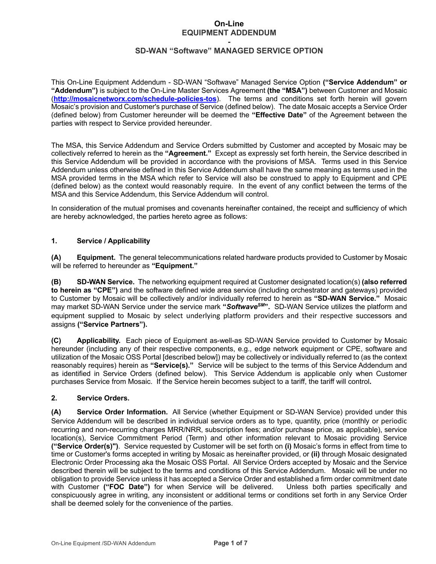### **On-Line EQUIPMENT ADDENDUM**

#### **- SD-WAN "Softwave" MANAGED SERVICE OPTION**

This On-Line Equipment Addendum - SD-WAN "Softwave" Managed Service Option **("Service Addendum" or "Addendum")** is subject to the On-Line Master Services Agreement **(the "MSA")** between Customer and Mosaic (**http://mosaicnetworx.com/schedule-policies-tos**). The terms and conditions set forth herein will govern Mosaic's provision and Customer's purchase of Service (defined below). The date Mosaic accepts a Service Order (defined below) from Customer hereunder will be deemed the **"Effective Date"** of the Agreement between the parties with respect to Service provided hereunder.

The MSA, this Service Addendum and Service Orders submitted by Customer and accepted by Mosaic may be collectively referred to herein as the **"Agreement."** Except as expressly set forth herein, the Service described in this Service Addendum will be provided in accordance with the provisions of MSA. Terms used in this Service Addendum unless otherwise defined in this Service Addendum shall have the same meaning as terms used in the MSA provided terms in the MSA which refer to Service will also be construed to apply to Equipment and CPE (defined below) as the context would reasonably require. In the event of any conflict between the terms of the MSA and this Service Addendum, this Service Addendum will control.

In consideration of the mutual promises and covenants hereinafter contained, the receipt and sufficiency of which are hereby acknowledged, the parties hereto agree as follows:

### **1. Service / Applicability**

**(A) Equipment.** The general telecommunications related hardware products provided to Customer by Mosaic will be referred to hereunder as **"Equipment."**

**(B) SD-WAN Service.** The networking equipment required at Customer designated location(s) **(also referred to herein as "CPE")** and the software defined wide area service (including orchestrator and gateways) provided to Customer by Mosaic will be collectively and/or individually referred to herein as **"SD-WAN Service."** Mosaic may market SD-WAN Service under the service mark **"***SoftwaveSM***".** SD-WAN Service utilizes the platform and equipment supplied to Mosaic by select underlying platform providers and their respective successors and assigns **("Service Partners").**

**(C) Applicability.** Each piece of Equipment as-well-as SD-WAN Service provided to Customer by Mosaic hereunder (including any of their respective components, e.g., edge network equipment or CPE, software and utilization of the Mosaic OSS Portal [described below]) may be collectively or individually referred to (as the context reasonably requires) herein as **"Service(s)."** Service will be subject to the terms of this Service Addendum and as identified in Service Orders (defined below). This Service Addendum is applicable only when Customer purchases Service from Mosaic. If the Service herein becomes subject to a tariff, the tariff will control**.**

#### **2. Service Orders.**

**(A) Service Order Information.** All Service (whether Equipment or SD-WAN Service) provided under this Service Addendum will be described in individual service orders as to type, quantity, price (monthly or periodic recurring and non-recurring charges MRR/NRR, subscription fees; and/or purchase price, as applicable), service location(s), Service Commitment Period (Term) and other information relevant to Mosaic providing Service **("Service Order(s)")**. Service requested by Customer will be set forth on **(i)** Mosaic's forms in effect from time to time or Customer's forms accepted in writing by Mosaic as hereinafter provided, or **(ii)** through Mosaic designated Electronic Order Processing aka the Mosaic OSS Portal. All Service Orders accepted by Mosaic and the Service described therein will be subject to the terms and conditions of this Service Addendum. Mosaic will be under no obligation to provide Service unless it has accepted a Service Order and established a firm order commitment date with Customer **("FOC Date")** for when Service will be delivered. Unless both parties specifically and conspicuously agree in writing, any inconsistent or additional terms or conditions set forth in any Service Order shall be deemed solely for the convenience of the parties.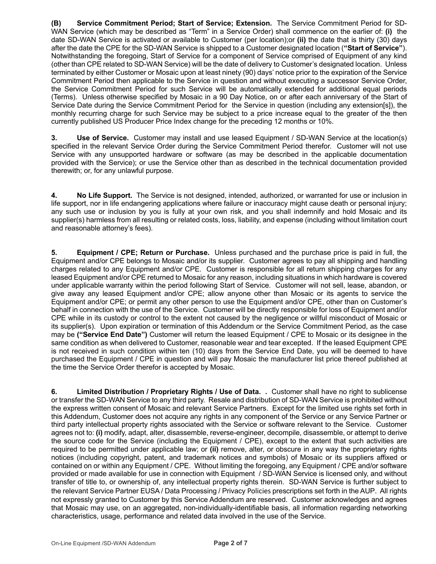**(B) Service Commitment Period; Start of Service; Extension.** The Service Commitment Period for SD-WAN Service (which may be described as "Term" in a Service Order) shall commence on the earlier of: **(i)** the date SD-WAN Service is activated or available to Customer (per location);or **(ii)** the date that is thirty (30) days after the date the CPE for the SD-WAN Service is shipped to a Customer designated location (**"Start of Service"**). Notwithstanding the foregoing, Start of Service for a component of Service comprised of Equipment of any kind (other than CPE related to SD-WAN Service) will be the date of delivery to Customer's designated location. Unless terminated by either Customer or Mosaic upon at least ninety (90) days' notice prior to the expiration of the Service Commitment Period then applicable to the Service in question and without executing a successor Service Order, the Service Commitment Period for such Service will be automatically extended for additional equal periods (Terms). Unless otherwise specified by Mosaic in a 90 Day Notice, on or after each anniversary of the Start of Service Date during the Service Commitment Period for the Service in question (including any extension[s]), the monthly recurring charge for such Service may be subject to a price increase equal to the greater of the then currently published US Producer Price Index change for the preceding 12 months or 10%.

**3. Use of Service.** Customer may install and use leased Equipment / SD-WAN Service at the location(s) specified in the relevant Service Order during the Service Commitment Period therefor. Customer will not use Service with any unsupported hardware or software (as may be described in the applicable documentation provided with the Service); or use the Service other than as described in the technical documentation provided therewith; or, for any unlawful purpose.

**4. No Life Support.** The Service is not designed, intended, authorized, or warranted for use or inclusion in life support, nor in life endangering applications where failure or inaccuracy might cause death or personal injury; any such use or inclusion by you is fully at your own risk, and you shall indemnify and hold Mosaic and its supplier(s) harmless from all resulting or related costs, loss, liability, and expense (including without limitation court and reasonable attorney's fees).

**5. Equipment / CPE; Return or Purchase.** Unless purchased and the purchase price is paid in full, the Equipment and/or CPE belongs to Mosaic and/or its supplier. Customer agrees to pay all shipping and handling charges related to any Equipment and/or CPE. Customer is responsible for all return shipping charges for any leased Equipment and/or CPE returned to Mosaic for any reason, including situations in which hardware is covered under applicable warranty within the period following Start of Service. Customer will not sell, lease, abandon, or give away any leased Equipment and/or CPE; allow anyone other than Mosaic or its agents to service the Equipment and/or CPE; or permit any other person to use the Equipment and/or CPE, other than on Customer's behalf in connection with the use of the Service. Customer will be directly responsible for loss of Equipment and/or CPE while in its custody or control to the extent not caused by the negligence or willful misconduct of Mosaic or its supplier(s). Upon expiration or termination of this Addendum or the Service Commitment Period, as the case may be **("Service End Date")** Customer will return the leased Equipment / CPE to Mosaic or its designee in the same condition as when delivered to Customer, reasonable wear and tear excepted. If the leased Equipment CPE is not received in such condition within ten (10) days from the Service End Date, you will be deemed to have purchased the Equipment / CPE in question and will pay Mosaic the manufacturer list price thereof published at the time the Service Order therefor is accepted by Mosaic.

**6. Limited Distribution / Proprietary Rights / Use of Data. .** Customer shall have no right to sublicense or transfer the SD-WAN Service to any third party. Resale and distribution of SD-WAN Service is prohibited without the express written consent of Mosaic and relevant Service Partners. Except for the limited use rights set forth in this Addendum, Customer does not acquire any rights in any component of the Service or any Service Partner or third party intellectual property rights associated with the Service or software relevant to the Service. Customer agrees not to: **(i)** modify, adapt, alter, disassemble, reverse-engineer, decompile, disassemble, or attempt to derive the source code for the Service (including the Equipment / CPE), except to the extent that such activities are required to be permitted under applicable law; or **(ii)** remove, alter, or obscure in any way the proprietary rights notices (including copyright, patent, and trademark notices and symbols) of Mosaic or its suppliers affixed or contained on or within any Equipment / CPE. Without limiting the foregoing, any Equipment / CPE and/or software provided or made available for use in connection with Equipment / SD-WAN Service is licensed only, and without transfer of title to, or ownership of, any intellectual property rights therein. SD-WAN Service is further subject to the relevant Service Partner EUSA / Data Processing / Privacy Policies prescriptions set forth in the AUP. All rights not expressly granted to Customer by this Service Addendum are reserved. Customer acknowledges and agrees that Mosaic may use, on an aggregated, non-individually-identifiable basis, all information regarding networking characteristics, usage, performance and related data involved in the use of the Service.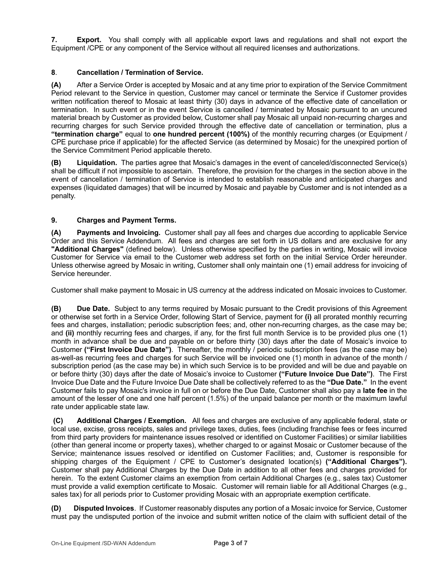**7. Export.** You shall comply with all applicable export laws and regulations and shall not export the Equipment /CPE or any component of the Service without all required licenses and authorizations.

## **8**. **Cancellation / Termination of Service.**

**(A)** After a Service Order is accepted by Mosaic and at any time prior to expiration of the Service Commitment Period relevant to the Service in question, Customer may cancel or terminate the Service if Customer provides written notification thereof to Mosaic at least thirty (30) days in advance of the effective date of cancellation or termination. In such event or in the event Service is cancelled / terminated by Mosaic pursuant to an uncured material breach by Customer as provided below, Customer shall pay Mosaic all unpaid non-recurring charges and recurring charges for such Service provided through the effective date of cancellation or termination, plus a **"termination charge"** equal to **one hundred percent (100%)** of the monthly recurring charges (or Equipment / CPE purchase price if applicable) for the affected Service (as determined by Mosaic) for the unexpired portion of the Service Commitment Period applicable thereto.

**(B) Liquidation.** The parties agree that Mosaic's damages in the event of canceled/disconnected Service(s) shall be difficult if not impossible to ascertain. Therefore, the provision for the charges in the section above in the event of cancellation / termination of Service is intended to establish reasonable and anticipated charges and expenses (liquidated damages) that will be incurred by Mosaic and payable by Customer and is not intended as a penalty.

## **9. Charges and Payment Terms.**

**(A) Payments and Invoicing.** Customer shall pay all fees and charges due according to applicable Service Order and this Service Addendum. All fees and charges are set forth in US dollars and are exclusive for any **"Additional Charges"** (defined below). Unless otherwise specified by the parties in writing, Mosaic will invoice Customer for Service via email to the Customer web address set forth on the initial Service Order hereunder. Unless otherwise agreed by Mosaic in writing, Customer shall only maintain one (1) email address for invoicing of Service hereunder.

Customer shall make payment to Mosaic in US currency at the address indicated on Mosaic invoices to Customer.

**(B) Due Date.** Subject to any terms required by Mosaic pursuant to the Credit provisions of this Agreement or otherwise set forth in a Service Order, following Start of Service, payment for **(i)** all prorated monthly recurring fees and charges, installation; periodic subscription fees; and, other non-recurring charges, as the case may be; and **(ii)** monthly recurring fees and charges, if any, for the first full month Service is to be provided plus one (1) month in advance shall be due and payable on or before thirty (30) days after the date of Mosaic's invoice to Customer **("First Invoice Due Date")**. Thereafter, the monthly / periodic subscription fees (as the case may be) as-well-as recurring fees and charges for such Service will be invoiced one (1) month in advance of the month / subscription period (as the case may be) in which such Service is to be provided and will be due and payable on or before thirty (30) days after the date of Mosaic's invoice to Customer **("Future Invoice Due Date")**. The First Invoice Due Date and the Future Invoice Due Date shall be collectively referred to as the **"Due Date."** In the event Customer fails to pay Mosaic's invoice in full on or before the Due Date, Customer shall also pay a **late fee** in the amount of the lesser of one and one half percent (1.5%) of the unpaid balance per month or the maximum lawful rate under applicable state law.

**(C) Additional Charges / Exemption.** All fees and charges are exclusive of any applicable federal, state or local use, excise, gross receipts, sales and privilege taxes, duties, fees (including franchise fees or fees incurred from third party providers for maintenance issues resolved or identified on Customer Facilities) or similar liabilities (other than general income or property taxes), whether charged to or against Mosaic or Customer because of the Service; maintenance issues resolved or identified on Customer Facilities; and, Customer is responsible for shipping charges of the Equipment / CPE to Customer's designated location(s) **("Additional Charges").** Customer shall pay Additional Charges by the Due Date in addition to all other fees and charges provided for herein. To the extent Customer claims an exemption from certain Additional Charges (e.g., sales tax) Customer must provide a valid exemption certificate to Mosaic. Customer will remain liable for all Additional Charges (e.g., sales tax) for all periods prior to Customer providing Mosaic with an appropriate exemption certificate.

**(D) Disputed Invoices**. If Customer reasonably disputes any portion of a Mosaic invoice for Service, Customer must pay the undisputed portion of the invoice and submit written notice of the claim with sufficient detail of the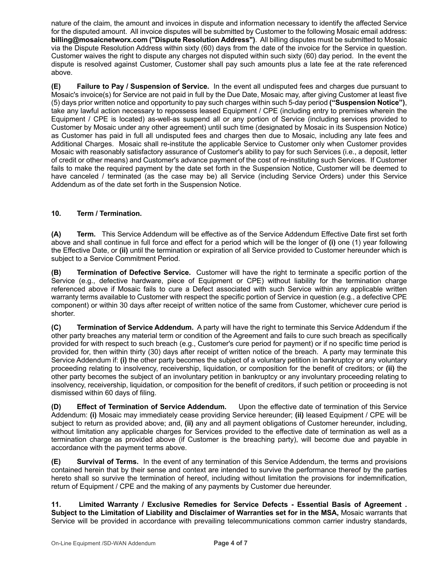nature of the claim, the amount and invoices in dispute and information necessary to identify the affected Service for the disputed amount. All invoice disputes will be submitted by Customer to the following Mosaic email address: **billing@mosaicnetworx.com ("Dispute Resolution Address")**. All billing disputes must be submitted to Mosaic via the Dispute Resolution Address within sixty (60) days from the date of the invoice for the Service in question. Customer waives the right to dispute any charges not disputed within such sixty (60) day period. In the event the dispute is resolved against Customer, Customer shall pay such amounts plus a late fee at the rate referenced above.

**(E) Failure to Pay / Suspension of Service.** In the event all undisputed fees and charges due pursuant to Mosaic's invoice(s) for Service are not paid in full by the Due Date, Mosaic may, after giving Customer at least five (5) days prior written notice and opportunity to pay such charges within such 5-day period **("Suspension Notice")**, take any lawful action necessary to repossess leased Equipment / CPE (including entry to premises wherein the Equipment / CPE is located) as-well-as suspend all or any portion of Service (including services provided to Customer by Mosaic under any other agreement) until such time (designated by Mosaic in its Suspension Notice) as Customer has paid in full all undisputed fees and charges then due to Mosaic, including any late fees and Additional Charges. Mosaic shall re-institute the applicable Service to Customer only when Customer provides Mosaic with reasonably satisfactory assurance of Customer's ability to pay for such Services (i.e., a deposit, letter of credit or other means) and Customer's advance payment of the cost of re-instituting such Services. If Customer fails to make the required payment by the date set forth in the Suspension Notice, Customer will be deemed to have canceled / terminated (as the case may be) all Service (including Service Orders) under this Service Addendum as of the date set forth in the Suspension Notice.

## **10. Term / Termination.**

**(A) Term.** This Service Addendum will be effective as of the Service Addendum Effective Date first set forth above and shall continue in full force and effect for a period which will be the longer of **(i)** one (1) year following the Effective Date, or **(ii)** until the termination or expiration of all Service provided to Customer hereunder which is subject to a Service Commitment Period.

**(B) Termination of Defective Service.** Customer will have the right to terminate a specific portion of the Service (e.g., defective hardware, piece of Equipment or CPE) without liability for the termination charge referenced above if Mosaic fails to cure a Defect associated with such Service within any applicable written warranty terms available to Customer with respect the specific portion of Service in question (e.g., a defective CPE component) or within 30 days after receipt of written notice of the same from Customer, whichever cure period is shorter.

**(C) Termination of Service Addendum.** A party will have the right to terminate this Service Addendum if the other party breaches any material term or condition of the Agreement and fails to cure such breach as specifically provided for with respect to such breach (e.g., Customer's cure period for payment) or if no specific time period is provided for, then within thirty (30) days after receipt of written notice of the breach. A party may terminate this Service Addendum if: **(i)** the other party becomes the subject of a voluntary petition in bankruptcy or any voluntary proceeding relating to insolvency, receivership, liquidation, or composition for the benefit of creditors; or **(ii)** the other party becomes the subject of an involuntary petition in bankruptcy or any involuntary proceeding relating to insolvency, receivership, liquidation, or composition for the benefit of creditors, if such petition or proceeding is not dismissed within 60 days of filing.

**(D) Effect of Termination of Service Addendum.** Upon the effective date of termination of this Service Addendum: **(i)** Mosaic may immediately cease providing Service hereunder; **(ii)** leased Equipment / CPE will be subject to return as provided above; and, **(ii)** any and all payment obligations of Customer hereunder, including, without limitation any applicable charges for Services provided to the effective date of termination as well as a termination charge as provided above (if Customer is the breaching party), will become due and payable in accordance with the payment terms above.

**(E) Survival of Terms.** In the event of any termination of this Service Addendum, the terms and provisions contained herein that by their sense and context are intended to survive the performance thereof by the parties hereto shall so survive the termination of hereof, including without limitation the provisions for indemnification, return of Equipment / CPE and the making of any payments by Customer due hereunder.

**11. Limited Warranty / Exclusive Remedies for Service Defects - Essential Basis of Agreement . Subject to the Limitation of Liability and Disclaimer of Warranties set for in the MSA,** Mosaic warrants that Service will be provided in accordance with prevailing telecommunications common carrier industry standards,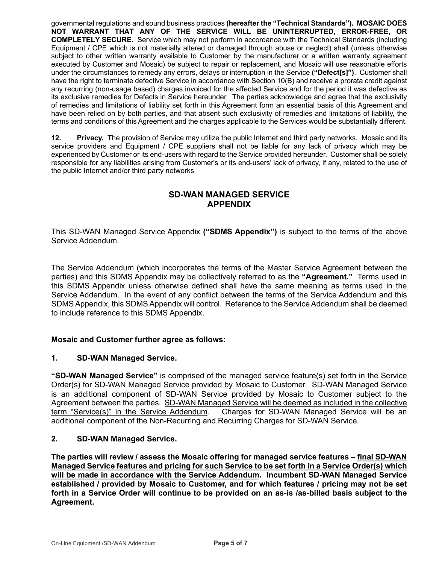governmental regulations and sound business practices **(hereafter the "Technical Standards"). MOSAIC DOES NOT WARRANT THAT ANY OF THE SERVICE WILL BE UNINTERRUPTED, ERROR-FREE, OR COMPLETELY SECURE.** Service which may not perform in accordance with the Technical Standards (including Equipment / CPE which is not materially altered or damaged through abuse or neglect) shall (unless otherwise subject to other written warranty available to Customer by the manufacturer or a written warranty agreement executed by Customer and Mosaic) be subject to repair or replacement, and Mosaic will use reasonable efforts under the circumstances to remedy any errors, delays or interruption in the Service **("Defect[s]")**. Customer shall have the right to terminate defective Service in accordance with Section 10(B) and receive a prorata credit against any recurring (non-usage based) charges invoiced for the affected Service and for the period it was defective as its exclusive remedies for Defects in Service hereunder. The parties acknowledge and agree that the exclusivity of remedies and limitations of liability set forth in this Agreement form an essential basis of this Agreement and have been relied on by both parties, and that absent such exclusivity of remedies and limitations of liability, the terms and conditions of this Agreement and the charges applicable to the Services would be substantially different.

**12. Privacy. T**he provision of Service may utilize the public Internet and third party networks. Mosaic and its service providers and Equipment / CPE suppliers shall not be liable for any lack of privacy which may be experienced by Customer or its end-users with regard to the Service provided hereunder. Customer shall be solely responsible for any liabilities arising from Customer's or its end-users' lack of privacy, if any, related to the use of the public Internet and/or third party networks

# **SD-WAN MANAGED SERVICE APPENDIX**

This SD-WAN Managed Service Appendix **("SDMS Appendix")** is subject to the terms of the above Service Addendum.

The Service Addendum (which incorporates the terms of the Master Service Agreement between the parties) and this SDMS Appendix may be collectively referred to as the **"Agreement."** Terms used in this SDMS Appendix unless otherwise defined shall have the same meaning as terms used in the Service Addendum. In the event of any conflict between the terms of the Service Addendum and this SDMS Appendix, this SDMS Appendix will control. Reference to the Service Addendum shall be deemed to include reference to this SDMS Appendix.

## **Mosaic and Customer further agree as follows:**

## **1. SD-WAN Managed Service.**

**"SD-WAN Managed Service"** is comprised of the managed service feature(s) set forth in the Service Order(s) for SD-WAN Managed Service provided by Mosaic to Customer. SD-WAN Managed Service is an additional component of SD-WAN Service provided by Mosaic to Customer subject to the Agreement between the parties. SD-WAN Managed Service will be deemed as included in the collective term "Service(s)" in the Service Addendum. Charges for SD-WAN Managed Service will be an additional component of the Non-Recurring and Recurring Charges for SD-WAN Service.

## **2. SD-WAN Managed Service.**

**The parties will review / assess the Mosaic offering for managed service features – final SD-WAN Managed Service features and pricing for such Service to be set forth in a Service Order(s) which will be made in accordance with the Service Addendum. Incumbent SD-WAN Managed Service established / provided by Mosaic to Customer, and for which features / pricing may not be set forth in a Service Order will continue to be provided on an as-is /as-billed basis subject to the Agreement.**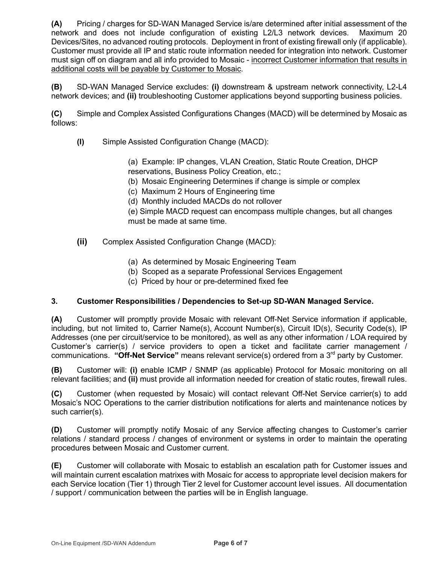**(A)** Pricing / charges for SD-WAN Managed Service is/are determined after initial assessment of the network and does not include configuration of existing L2/L3 network devices. Maximum 20 Devices/Sites, no advanced routing protocols. Deployment in front of existing firewall only (if applicable). Customer must provide all IP and static route information needed for integration into network. Customer must sign off on diagram and all info provided to Mosaic - incorrect Customer information that results in additional costs will be payable by Customer to Mosaic.

**(B)** SD-WAN Managed Service excludes: **(i)** downstream & upstream network connectivity, L2-L4 network devices; and **(ii)** troubleshooting Customer applications beyond supporting business policies.

**(C)** Simple and Complex Assisted Configurations Changes (MACD) will be determined by Mosaic as follows:

**(I)** Simple Assisted Configuration Change (MACD):

(a) Example: IP changes, VLAN Creation, Static Route Creation, DHCP reservations, Business Policy Creation, etc.;

- (b) Mosaic Engineering Determines if change is simple or complex
- (c) Maximum 2 Hours of Engineering time
- (d) Monthly included MACDs do not rollover

(e) Simple MACD request can encompass multiple changes, but all changes must be made at same time.

- **(ii)** Complex Assisted Configuration Change (MACD):
	- (a) As determined by Mosaic Engineering Team
	- (b) Scoped as a separate Professional Services Engagement
	- (c) Priced by hour or pre-determined fixed fee

## **3. Customer Responsibilities / Dependencies to Set-up SD-WAN Managed Service.**

**(A)** Customer will promptly provide Mosaic with relevant Off-Net Service information if applicable, including, but not limited to, Carrier Name(s), Account Number(s), Circuit ID(s), Security Code(s), IP Addresses (one per circuit/service to be monitored), as well as any other information / LOA required by Customer's carrier(s) / service providers to open a ticket and facilitate carrier management / communications. "Off-Net Service" means relevant service(s) ordered from a 3<sup>rd</sup> party by Customer.

**(B)** Customer will: **(i)** enable ICMP / SNMP (as applicable) Protocol for Mosaic monitoring on all relevant facilities; and **(ii)** must provide all information needed for creation of static routes, firewall rules.

**(C)** Customer (when requested by Mosaic) will contact relevant Off-Net Service carrier(s) to add Mosaic's NOC Operations to the carrier distribution notifications for alerts and maintenance notices by such carrier(s).

**(D)** Customer will promptly notify Mosaic of any Service affecting changes to Customer's carrier relations / standard process / changes of environment or systems in order to maintain the operating procedures between Mosaic and Customer current.

**(E)** Customer will collaborate with Mosaic to establish an escalation path for Customer issues and will maintain current escalation matrixes with Mosaic for access to appropriate level decision makers for each Service location (Tier 1) through Tier 2 level for Customer account level issues. All documentation / support / communication between the parties will be in English language.